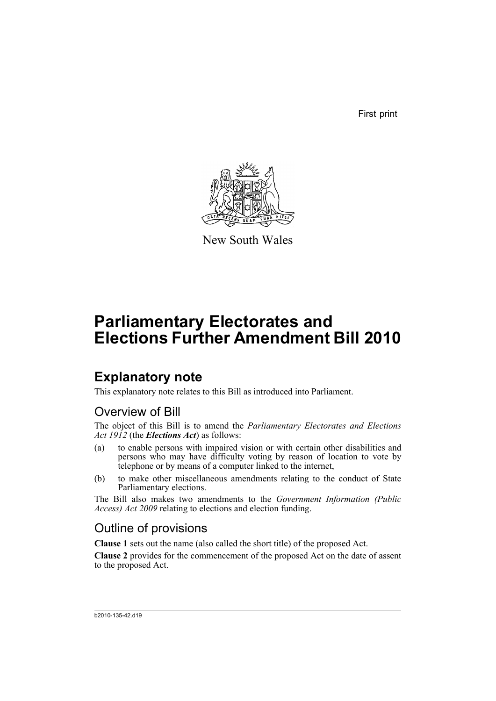First print



New South Wales

# **Parliamentary Electorates and Elections Further Amendment Bill 2010**

## **Explanatory note**

This explanatory note relates to this Bill as introduced into Parliament.

## Overview of Bill

The object of this Bill is to amend the *Parliamentary Electorates and Elections Act 1912* (the *Elections Act*) as follows:

- (a) to enable persons with impaired vision or with certain other disabilities and persons who may have difficulty voting by reason of location to vote by telephone or by means of a computer linked to the internet,
- (b) to make other miscellaneous amendments relating to the conduct of State Parliamentary elections.

The Bill also makes two amendments to the *Government Information (Public Access) Act 2009* relating to elections and election funding.

## Outline of provisions

**Clause 1** sets out the name (also called the short title) of the proposed Act.

**Clause 2** provides for the commencement of the proposed Act on the date of assent to the proposed Act.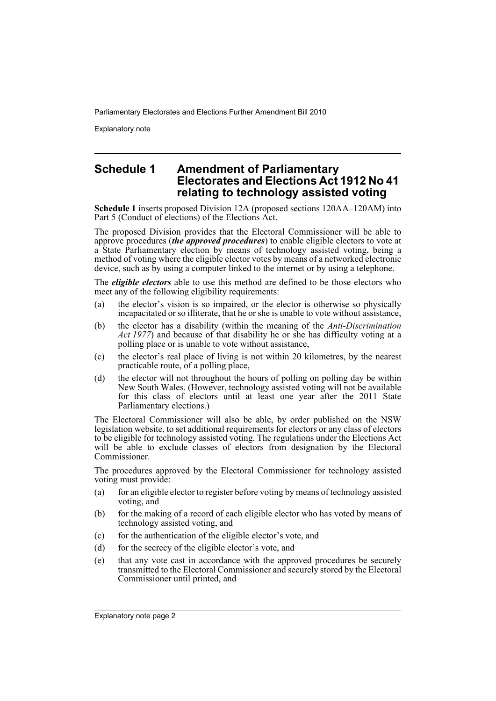Explanatory note

### **Schedule 1 Amendment of Parliamentary Electorates and Elections Act 1912 No 41 relating to technology assisted voting**

**Schedule 1** inserts proposed Division 12A (proposed sections 120AA–120AM) into Part 5 (Conduct of elections) of the Elections Act.

The proposed Division provides that the Electoral Commissioner will be able to approve procedures (*the approved procedures*) to enable eligible electors to vote at a State Parliamentary election by means of technology assisted voting, being a method of voting where the eligible elector votes by means of a networked electronic device, such as by using a computer linked to the internet or by using a telephone.

The *eligible electors* able to use this method are defined to be those electors who meet any of the following eligibility requirements:

- (a) the elector's vision is so impaired, or the elector is otherwise so physically incapacitated or so illiterate, that he or she is unable to vote without assistance,
- (b) the elector has a disability (within the meaning of the *Anti-Discrimination Act 1977*) and because of that disability he or she has difficulty voting at a polling place or is unable to vote without assistance,
- (c) the elector's real place of living is not within 20 kilometres, by the nearest practicable route, of a polling place,
- (d) the elector will not throughout the hours of polling on polling day be within New South Wales. (However, technology assisted voting will not be available for this class of electors until at least one year after the 2011 State Parliamentary elections.)

The Electoral Commissioner will also be able, by order published on the NSW legislation website, to set additional requirements for electors or any class of electors to be eligible for technology assisted voting. The regulations under the Elections Act will be able to exclude classes of electors from designation by the Electoral Commissioner.

The procedures approved by the Electoral Commissioner for technology assisted voting must provide:

- (a) for an eligible elector to register before voting by means of technology assisted voting, and
- (b) for the making of a record of each eligible elector who has voted by means of technology assisted voting, and
- (c) for the authentication of the eligible elector's vote, and
- (d) for the secrecy of the eligible elector's vote, and
- (e) that any vote cast in accordance with the approved procedures be securely transmitted to the Electoral Commissioner and securely stored by the Electoral Commissioner until printed, and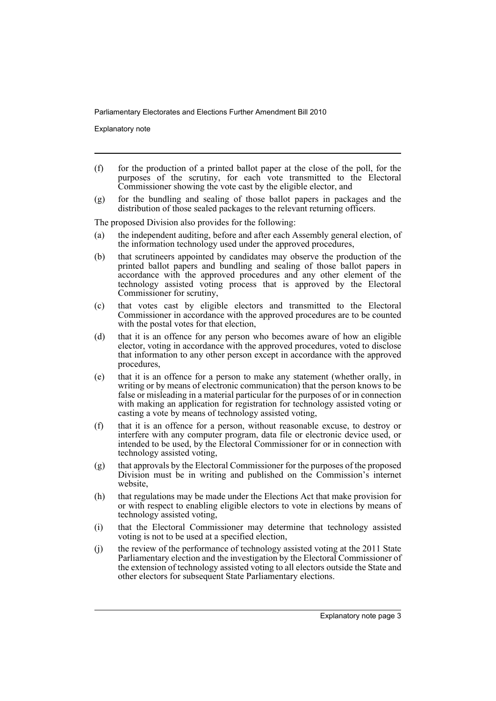Explanatory note

- (f) for the production of a printed ballot paper at the close of the poll, for the purposes of the scrutiny, for each vote transmitted to the Electoral Commissioner showing the vote cast by the eligible elector, and
- (g) for the bundling and sealing of those ballot papers in packages and the distribution of those sealed packages to the relevant returning officers.

The proposed Division also provides for the following:

- (a) the independent auditing, before and after each Assembly general election, of the information technology used under the approved procedures,
- (b) that scrutineers appointed by candidates may observe the production of the printed ballot papers and bundling and sealing of those ballot papers in accordance with the approved procedures and any other element of the technology assisted voting process that is approved by the Electoral Commissioner for scrutiny,
- (c) that votes cast by eligible electors and transmitted to the Electoral Commissioner in accordance with the approved procedures are to be counted with the postal votes for that election,
- (d) that it is an offence for any person who becomes aware of how an eligible elector, voting in accordance with the approved procedures, voted to disclose that information to any other person except in accordance with the approved procedures,
- (e) that it is an offence for a person to make any statement (whether orally, in writing or by means of electronic communication) that the person knows to be false or misleading in a material particular for the purposes of or in connection with making an application for registration for technology assisted voting or casting a vote by means of technology assisted voting,
- (f) that it is an offence for a person, without reasonable excuse, to destroy or interfere with any computer program, data file or electronic device used, or intended to be used, by the Electoral Commissioner for or in connection with technology assisted voting,
- (g) that approvals by the Electoral Commissioner for the purposes of the proposed Division must be in writing and published on the Commission's internet website,
- (h) that regulations may be made under the Elections Act that make provision for or with respect to enabling eligible electors to vote in elections by means of technology assisted voting,
- (i) that the Electoral Commissioner may determine that technology assisted voting is not to be used at a specified election,
- (j) the review of the performance of technology assisted voting at the 2011 State Parliamentary election and the investigation by the Electoral Commissioner of the extension of technology assisted voting to all electors outside the State and other electors for subsequent State Parliamentary elections.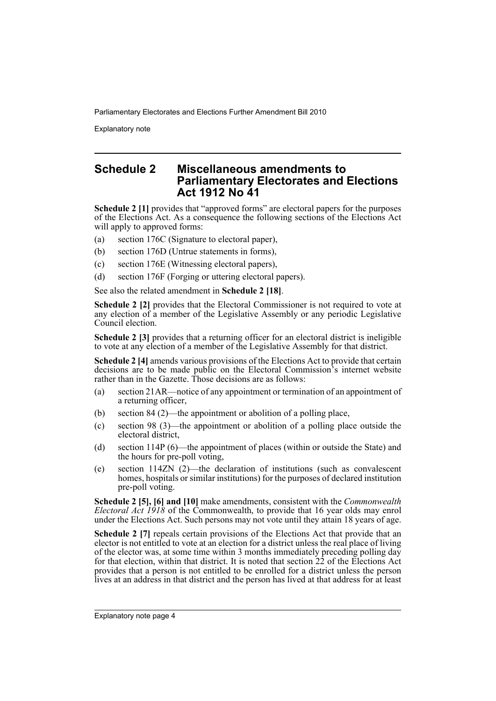Explanatory note

## **Schedule 2 Miscellaneous amendments to Parliamentary Electorates and Elections Act 1912 No 41**

**Schedule 2 [1]** provides that "approved forms" are electoral papers for the purposes of the Elections Act. As a consequence the following sections of the Elections Act will apply to approved forms:

- (a) section 176C (Signature to electoral paper),
- (b) section 176D (Untrue statements in forms),
- (c) section 176E (Witnessing electoral papers),
- (d) section 176F (Forging or uttering electoral papers).

See also the related amendment in **Schedule 2 [18]**.

**Schedule 2 [2]** provides that the Electoral Commissioner is not required to vote at any election of a member of the Legislative Assembly or any periodic Legislative Council election.

**Schedule 2 [3]** provides that a returning officer for an electoral district is ineligible to vote at any election of a member of the Legislative Assembly for that district.

**Schedule 2 [4]** amends various provisions of the Elections Act to provide that certain decisions are to be made public on the Electoral Commission's internet website rather than in the Gazette. Those decisions are as follows:

- (a) section 21AR—notice of any appointment or termination of an appointment of a returning officer,
- (b) section 84 (2)—the appointment or abolition of a polling place,
- (c) section 98 (3)—the appointment or abolition of a polling place outside the electoral district,
- (d) section 114P (6)—the appointment of places (within or outside the State) and the hours for pre-poll voting,
- (e) section 114ZN (2)—the declaration of institutions (such as convalescent homes, hospitals or similar institutions) for the purposes of declared institution pre-poll voting.

**Schedule 2 [5], [6] and [10]** make amendments, consistent with the *Commonwealth Electoral Act 1918* of the Commonwealth, to provide that 16 year olds may enrol under the Elections Act. Such persons may not vote until they attain 18 years of age.

**Schedule 2 [7]** repeals certain provisions of the Elections Act that provide that an elector is not entitled to vote at an election for a district unless the real place of living of the elector was, at some time within 3 months immediately preceding polling day for that election, within that district. It is noted that section  $22$  of the Elections Act provides that a person is not entitled to be enrolled for a district unless the person lives at an address in that district and the person has lived at that address for at least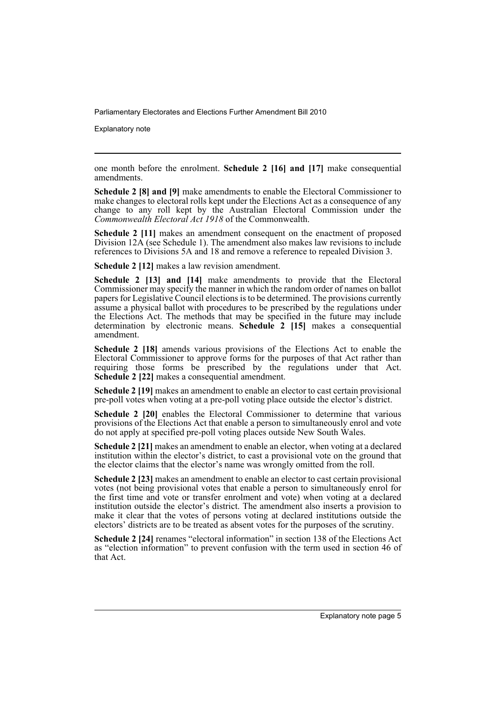Explanatory note

one month before the enrolment. **Schedule 2 [16] and [17]** make consequential amendments.

**Schedule 2 [8] and [9]** make amendments to enable the Electoral Commissioner to make changes to electoral rolls kept under the Elections Act as a consequence of any change to any roll kept by the Australian Electoral Commission under the *Commonwealth Electoral Act 1918* of the Commonwealth.

**Schedule 2 [11]** makes an amendment consequent on the enactment of proposed Division 12A (see Schedule 1). The amendment also makes law revisions to include references to Divisions 5A and 18 and remove a reference to repealed Division 3.

**Schedule 2 [12]** makes a law revision amendment.

**Schedule 2 [13] and [14]** make amendments to provide that the Electoral Commissioner may specify the manner in which the random order of names on ballot papers for Legislative Council elections is to be determined. The provisions currently assume a physical ballot with procedures to be prescribed by the regulations under the Elections Act. The methods that may be specified in the future may include determination by electronic means. **Schedule 2 [15]** makes a consequential amendment.

**Schedule 2 [18]** amends various provisions of the Elections Act to enable the Electoral Commissioner to approve forms for the purposes of that Act rather than requiring those forms be prescribed by the regulations under that Act. **Schedule 2 [22]** makes a consequential amendment.

**Schedule 2 [19]** makes an amendment to enable an elector to cast certain provisional pre-poll votes when voting at a pre-poll voting place outside the elector's district.

**Schedule 2 [20]** enables the Electoral Commissioner to determine that various provisions of the Elections Act that enable a person to simultaneously enrol and vote do not apply at specified pre-poll voting places outside New South Wales.

**Schedule 2 [21]** makes an amendment to enable an elector, when voting at a declared institution within the elector's district, to cast a provisional vote on the ground that the elector claims that the elector's name was wrongly omitted from the roll.

**Schedule 2 [23]** makes an amendment to enable an elector to cast certain provisional votes (not being provisional votes that enable a person to simultaneously enrol for the first time and vote or transfer enrolment and vote) when voting at a declared institution outside the elector's district. The amendment also inserts a provision to make it clear that the votes of persons voting at declared institutions outside the electors' districts are to be treated as absent votes for the purposes of the scrutiny.

**Schedule 2 [24]** renames "electoral information" in section 138 of the Elections Act as "election information" to prevent confusion with the term used in section 46 of that Act.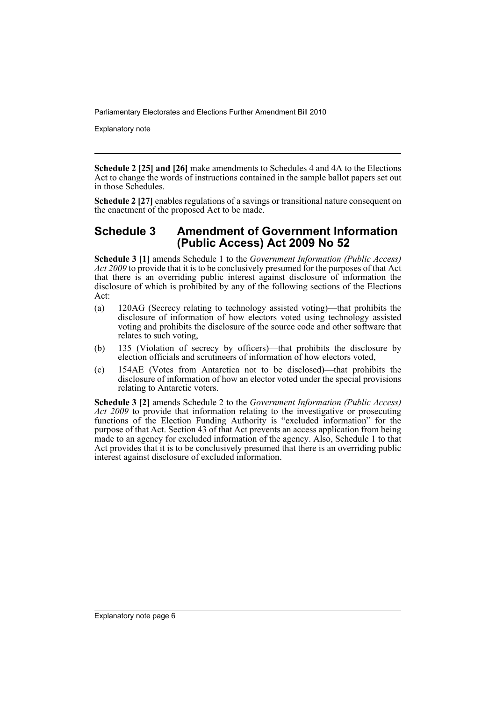Explanatory note

**Schedule 2 [25] and [26]** make amendments to Schedules 4 and 4A to the Elections Act to change the words of instructions contained in the sample ballot papers set out in those Schedules.

**Schedule 2 [27]** enables regulations of a savings or transitional nature consequent on the enactment of the proposed Act to be made.

### **Schedule 3 Amendment of Government Information (Public Access) Act 2009 No 52**

**Schedule 3 [1]** amends Schedule 1 to the *Government Information (Public Access) Act 2009* to provide that it is to be conclusively presumed for the purposes of that Act that there is an overriding public interest against disclosure of information the disclosure of which is prohibited by any of the following sections of the Elections Act:

- (a) 120AG (Secrecy relating to technology assisted voting)—that prohibits the disclosure of information of how electors voted using technology assisted voting and prohibits the disclosure of the source code and other software that relates to such voting,
- (b) 135 (Violation of secrecy by officers)—that prohibits the disclosure by election officials and scrutineers of information of how electors voted,
- (c) 154AE (Votes from Antarctica not to be disclosed)—that prohibits the disclosure of information of how an elector voted under the special provisions relating to Antarctic voters.

**Schedule 3 [2]** amends Schedule 2 to the *Government Information (Public Access) Act 2009* to provide that information relating to the investigative or prosecuting functions of the Election Funding Authority is "excluded information" for the purpose of that Act. Section 43 of that Act prevents an access application from being made to an agency for excluded information of the agency. Also, Schedule 1 to that Act provides that it is to be conclusively presumed that there is an overriding public interest against disclosure of excluded information.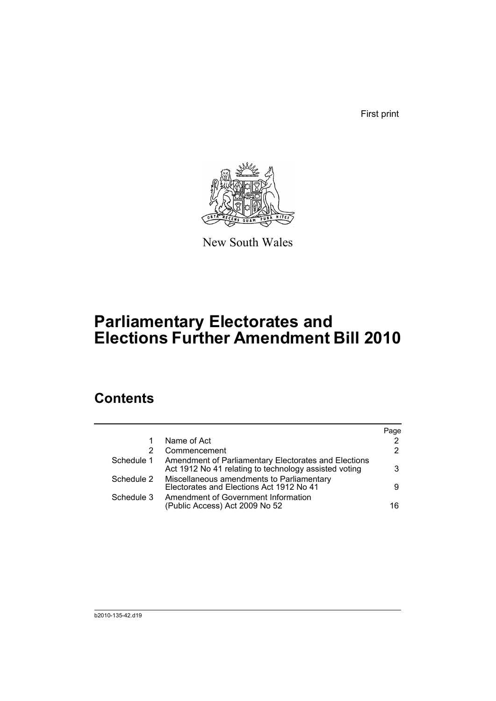First print



New South Wales

# **Parliamentary Electorates and Elections Further Amendment Bill 2010**

## **Contents**

|            |                                                                                                               | Page          |
|------------|---------------------------------------------------------------------------------------------------------------|---------------|
|            | Name of Act                                                                                                   | 2             |
| 2          | Commencement                                                                                                  | $\mathcal{P}$ |
| Schedule 1 | Amendment of Parliamentary Electorates and Elections<br>Act 1912 No 41 relating to technology assisted voting | 3             |
| Schedule 2 | Miscellaneous amendments to Parliamentary<br>Electorates and Elections Act 1912 No 41                         | 9             |
| Schedule 3 | Amendment of Government Information<br>(Public Access) Act 2009 No 52                                         | 16            |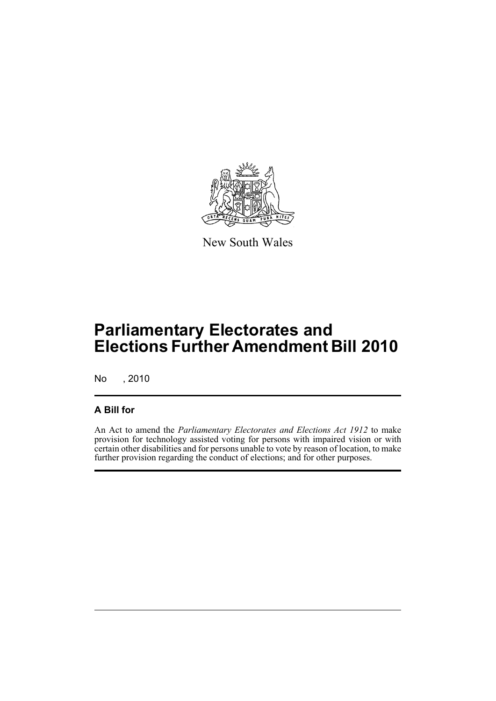

New South Wales

# **Parliamentary Electorates and Elections Further Amendment Bill 2010**

No , 2010

## **A Bill for**

An Act to amend the *Parliamentary Electorates and Elections Act 1912* to make provision for technology assisted voting for persons with impaired vision or with certain other disabilities and for persons unable to vote by reason of location, to make further provision regarding the conduct of elections; and for other purposes.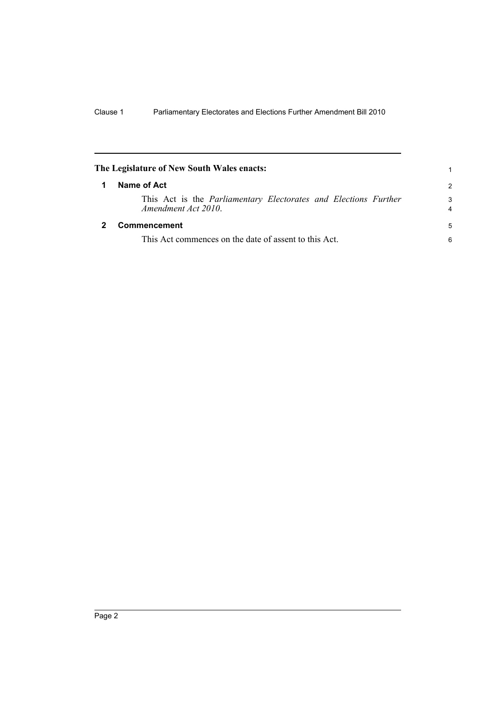<span id="page-9-1"></span><span id="page-9-0"></span>

|   | The Legislature of New South Wales enacts:                                                    |                     |
|---|-----------------------------------------------------------------------------------------------|---------------------|
| 1 | Name of Act                                                                                   | $\mathcal{P}$       |
|   | This Act is the <i>Parliamentary Electorates and Elections Further</i><br>Amendment Act 2010. | 3<br>$\overline{4}$ |
|   | Commencement                                                                                  | 5                   |
|   | This Act commences on the date of assent to this Act.                                         | 6                   |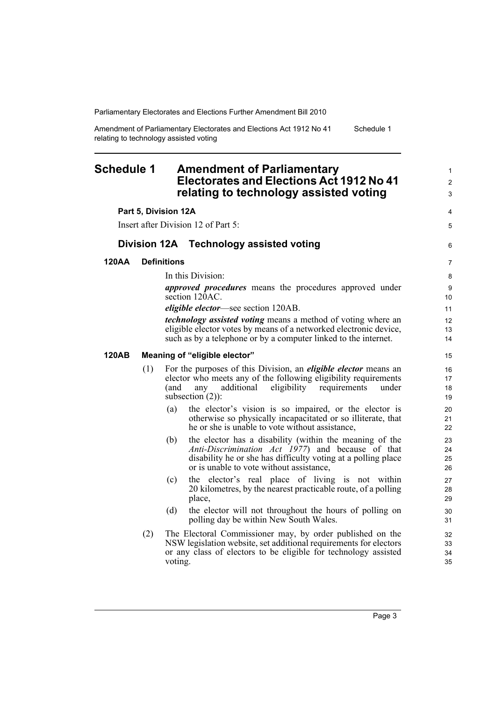Amendment of Parliamentary Electorates and Elections Act 1912 No 41 relating to technology assisted voting Schedule 1

### <span id="page-10-0"></span>**Schedule 1 Amendment of Parliamentary Electorates and Elections Act 1912 No 41 relating to technology assisted voting**

#### **Part 5, Division 12A**

Insert after Division 12 of Part 5:

#### **Division 12A Technology assisted voting**

#### **120AA Definitions**

In this Division:

*approved procedures* means the procedures approved under section 120AC.

*eligible elector*—see section 120AB.

*technology assisted voting* means a method of voting where an eligible elector votes by means of a networked electronic device, such as by a telephone or by a computer linked to the internet.

#### **120AB Meaning of "eligible elector"**

- (1) For the purposes of this Division, an *eligible elector* means an elector who meets any of the following eligibility requirements (and any additional eligibility requirements under subsection  $(2)$ :
	- (a) the elector's vision is so impaired, or the elector is otherwise so physically incapacitated or so illiterate, that he or she is unable to vote without assistance,
	- (b) the elector has a disability (within the meaning of the *Anti-Discrimination Act 1977*) and because of that disability he or she has difficulty voting at a polling place or is unable to vote without assistance,
	- (c) the elector's real place of living is not within 20 kilometres, by the nearest practicable route, of a polling place,
	- (d) the elector will not throughout the hours of polling on polling day be within New South Wales.
- (2) The Electoral Commissioner may, by order published on the NSW legislation website, set additional requirements for electors or any class of electors to be eligible for technology assisted voting.

1 2 3

4 5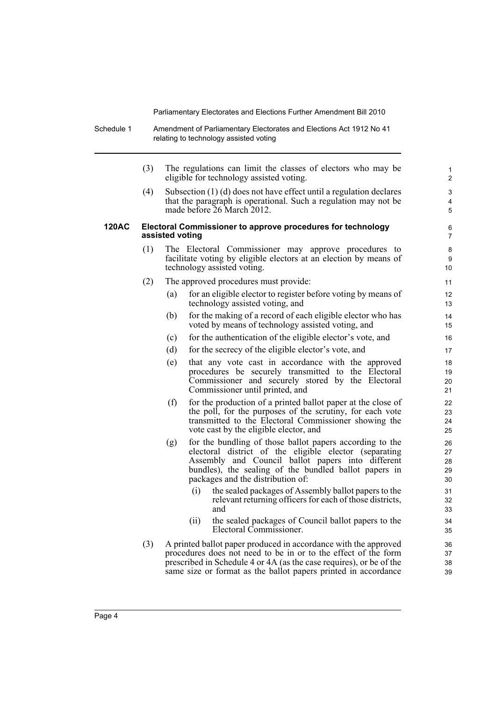- Schedule 1 Amendment of Parliamentary Electorates and Elections Act 1912 No 41 relating to technology assisted voting
	- (3) The regulations can limit the classes of electors who may be eligible for technology assisted voting.

(4) Subsection (1) (d) does not have effect until a regulation declares that the paragraph is operational. Such a regulation may not be made before 26 March 2012.

#### **120AC Electoral Commissioner to approve procedures for technology assisted voting**

- (1) The Electoral Commissioner may approve procedures to facilitate voting by eligible electors at an election by means of technology assisted voting.
- (2) The approved procedures must provide:
	- (a) for an eligible elector to register before voting by means of technology assisted voting, and
	- (b) for the making of a record of each eligible elector who has voted by means of technology assisted voting, and
	- (c) for the authentication of the eligible elector's vote, and
	- (d) for the secrecy of the eligible elector's vote, and
	- (e) that any vote cast in accordance with the approved procedures be securely transmitted to the Electoral Commissioner and securely stored by the Electoral Commissioner until printed, and
	- (f) for the production of a printed ballot paper at the close of the poll, for the purposes of the scrutiny, for each vote transmitted to the Electoral Commissioner showing the vote cast by the eligible elector, and
	- (g) for the bundling of those ballot papers according to the electoral district of the eligible elector (separating Assembly and Council ballot papers into different bundles), the sealing of the bundled ballot papers in packages and the distribution of:
		- (i) the sealed packages of Assembly ballot papers to the relevant returning officers for each of those districts, and
		- (ii) the sealed packages of Council ballot papers to the Electoral Commissioner.
- (3) A printed ballot paper produced in accordance with the approved procedures does not need to be in or to the effect of the form prescribed in Schedule 4 or 4A (as the case requires), or be of the same size or format as the ballot papers printed in accordance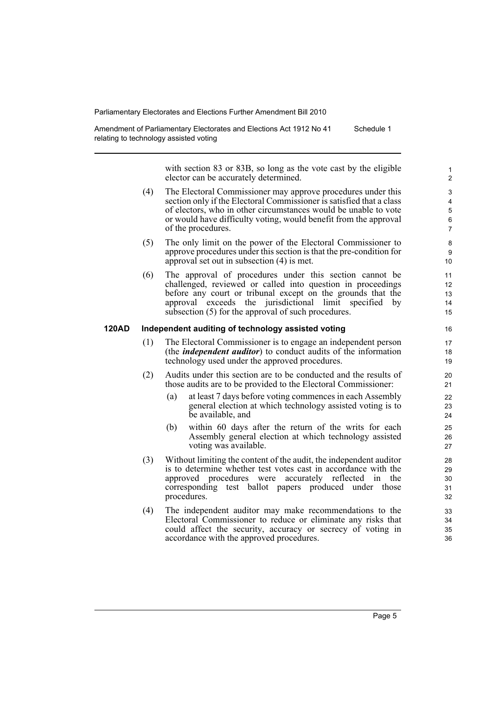Amendment of Parliamentary Electorates and Elections Act 1912 No 41 relating to technology assisted voting Schedule 1

> with section 83 or 83B, so long as the vote cast by the eligible elector can be accurately determined.

- (4) The Electoral Commissioner may approve procedures under this section only if the Electoral Commissioner is satisfied that a class of electors, who in other circumstances would be unable to vote or would have difficulty voting, would benefit from the approval of the procedures.
- (5) The only limit on the power of the Electoral Commissioner to approve procedures under this section is that the pre-condition for approval set out in subsection (4) is met.
- (6) The approval of procedures under this section cannot be challenged, reviewed or called into question in proceedings before any court or tribunal except on the grounds that the approval exceeds the jurisdictional limit specified by subsection (5) for the approval of such procedures.

#### **120AD Independent auditing of technology assisted voting**

- (1) The Electoral Commissioner is to engage an independent person (the *independent auditor*) to conduct audits of the information technology used under the approved procedures.
- (2) Audits under this section are to be conducted and the results of those audits are to be provided to the Electoral Commissioner:
	- (a) at least 7 days before voting commences in each Assembly general election at which technology assisted voting is to be available, and
	- (b) within 60 days after the return of the writs for each Assembly general election at which technology assisted voting was available.
- (3) Without limiting the content of the audit, the independent auditor is to determine whether test votes cast in accordance with the approved procedures were accurately reflected in the corresponding test ballot papers produced under those procedures.
- (4) The independent auditor may make recommendations to the Electoral Commissioner to reduce or eliminate any risks that could affect the security, accuracy or secrecy of voting in accordance with the approved procedures.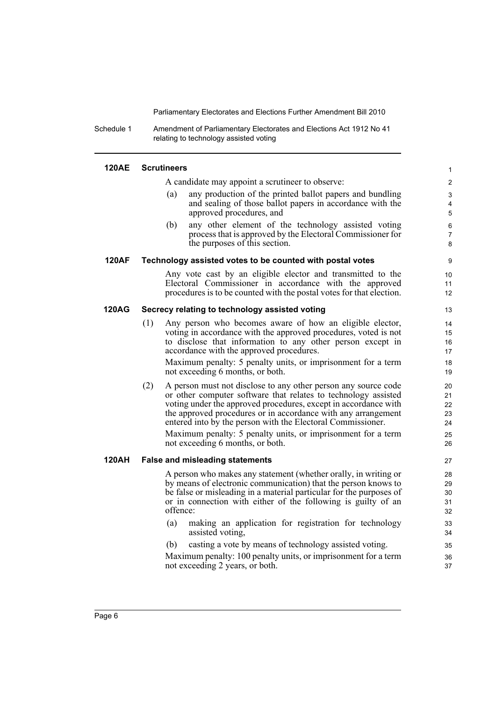Schedule 1 Amendment of Parliamentary Electorates and Elections Act 1912 No 41 relating to technology assisted voting

#### **120AE Scrutineers**

A candidate may appoint a scrutineer to observe:

(a) any production of the printed ballot papers and bundling and sealing of those ballot papers in accordance with the approved procedures, and

(b) any other element of the technology assisted voting process that is approved by the Electoral Commissioner for the purposes of this section.

#### **120AF Technology assisted votes to be counted with postal votes**

Any vote cast by an eligible elector and transmitted to the Electoral Commissioner in accordance with the approved procedures is to be counted with the postal votes for that election.

#### **120AG Secrecy relating to technology assisted voting**

(1) Any person who becomes aware of how an eligible elector, voting in accordance with the approved procedures, voted is not to disclose that information to any other person except in accordance with the approved procedures.

Maximum penalty: 5 penalty units, or imprisonment for a term not exceeding 6 months, or both.

(2) A person must not disclose to any other person any source code or other computer software that relates to technology assisted voting under the approved procedures, except in accordance with the approved procedures or in accordance with any arrangement entered into by the person with the Electoral Commissioner.

Maximum penalty: 5 penalty units, or imprisonment for a term not exceeding 6 months, or both.

#### **120AH False and misleading statements**

A person who makes any statement (whether orally, in writing or by means of electronic communication) that the person knows to be false or misleading in a material particular for the purposes of or in connection with either of the following is guilty of an offence:

- (a) making an application for registration for technology assisted voting,
- (b) casting a vote by means of technology assisted voting.

Maximum penalty: 100 penalty units, or imprisonment for a term not exceeding 2 years, or both.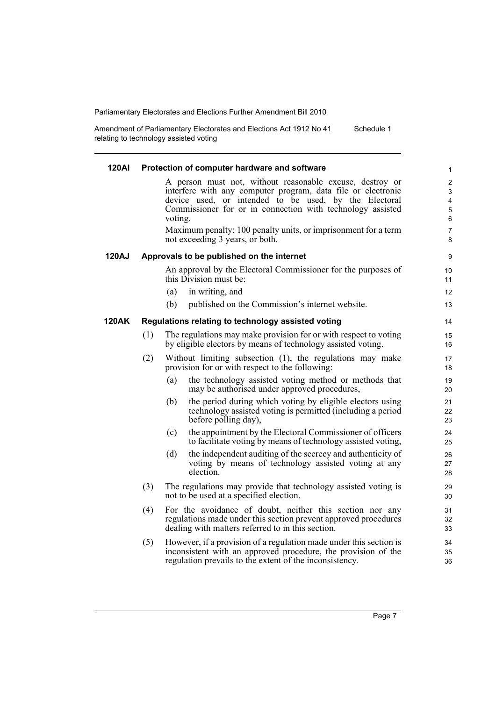Amendment of Parliamentary Electorates and Elections Act 1912 No 41 relating to technology assisted voting Schedule 1

| 120AI        |     | Protection of computer hardware and software                                                                                                                                                                                                                                                                                                                    | $\mathbf{1}$                                                    |
|--------------|-----|-----------------------------------------------------------------------------------------------------------------------------------------------------------------------------------------------------------------------------------------------------------------------------------------------------------------------------------------------------------------|-----------------------------------------------------------------|
|              |     | A person must not, without reasonable excuse, destroy or<br>interfere with any computer program, data file or electronic<br>device used, or intended to be used, by the Electoral<br>Commissioner for or in connection with technology assisted<br>voting.<br>Maximum penalty: 100 penalty units, or imprisonment for a term<br>not exceeding 3 years, or both. | 2<br>$\mathsf 3$<br>$\overline{\mathbf{4}}$<br>5<br>6<br>7<br>8 |
| <b>120AJ</b> |     | Approvals to be published on the internet                                                                                                                                                                                                                                                                                                                       | 9                                                               |
|              |     | An approval by the Electoral Commissioner for the purposes of<br>this Division must be:<br>(a)<br>in writing, and                                                                                                                                                                                                                                               | 10<br>11<br>12                                                  |
|              |     | (b)<br>published on the Commission's internet website.                                                                                                                                                                                                                                                                                                          | 13                                                              |
| 120AK        |     | Regulations relating to technology assisted voting                                                                                                                                                                                                                                                                                                              | 14                                                              |
|              | (1) | The regulations may make provision for or with respect to voting<br>by eligible electors by means of technology assisted voting.                                                                                                                                                                                                                                | 15<br>16                                                        |
|              | (2) | Without limiting subsection (1), the regulations may make<br>provision for or with respect to the following:                                                                                                                                                                                                                                                    | 17<br>18                                                        |
|              |     | the technology assisted voting method or methods that<br>(a)<br>may be authorised under approved procedures,                                                                                                                                                                                                                                                    | 19<br>20                                                        |
|              |     | the period during which voting by eligible electors using<br>(b)<br>technology assisted voting is permitted (including a period<br>before polling day),                                                                                                                                                                                                         | 21<br>22<br>23                                                  |
|              |     | the appointment by the Electoral Commissioner of officers<br>(c)<br>to facilitate voting by means of technology assisted voting,                                                                                                                                                                                                                                | 24<br>25                                                        |
|              |     | the independent auditing of the secrecy and authenticity of<br>(d)<br>voting by means of technology assisted voting at any<br>election.                                                                                                                                                                                                                         | 26<br>27<br>28                                                  |
|              | (3) | The regulations may provide that technology assisted voting is<br>not to be used at a specified election.                                                                                                                                                                                                                                                       | 29<br>30                                                        |
|              | (4) | For the avoidance of doubt, neither this section nor any<br>regulations made under this section prevent approved procedures<br>dealing with matters referred to in this section.                                                                                                                                                                                | 31<br>32<br>33                                                  |
|              | (5) | However, if a provision of a regulation made under this section is<br>inconsistent with an approved procedure, the provision of the<br>regulation prevails to the extent of the inconsistency.                                                                                                                                                                  | 34<br>35<br>36                                                  |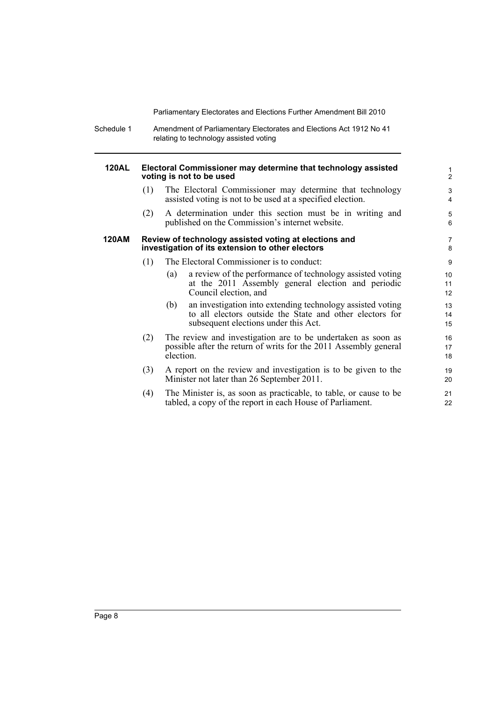Schedule 1 Amendment of Parliamentary Electorates and Elections Act 1912 No 41 relating to technology assisted voting

#### **120AL Electoral Commissioner may determine that technology assisted voting is not to be used**

(1) The Electoral Commissioner may determine that technology assisted voting is not to be used at a specified election.

(2) A determination under this section must be in writing and published on the Commission's internet website.

#### **120AM Review of technology assisted voting at elections and investigation of its extension to other electors**

- (1) The Electoral Commissioner is to conduct:
	- (a) a review of the performance of technology assisted voting at the 2011 Assembly general election and periodic Council election, and
	- (b) an investigation into extending technology assisted voting to all electors outside the State and other electors for subsequent elections under this Act.
- (2) The review and investigation are to be undertaken as soon as possible after the return of writs for the 2011 Assembly general election.
- (3) A report on the review and investigation is to be given to the Minister not later than 26 September 2011.
- (4) The Minister is, as soon as practicable, to table, or cause to be tabled, a copy of the report in each House of Parliament.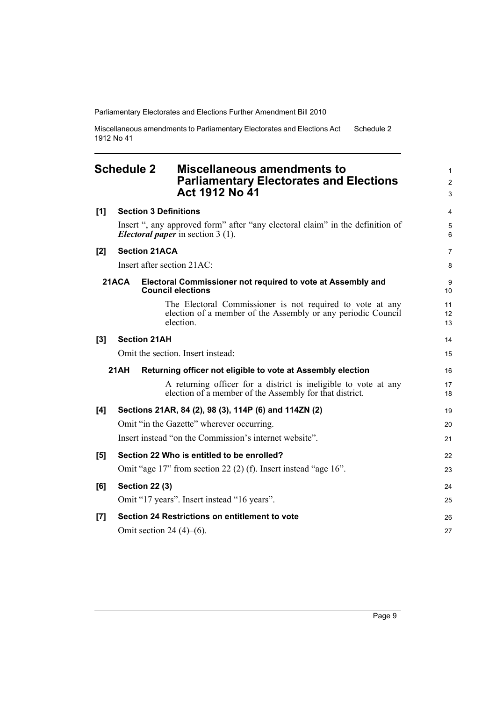Miscellaneous amendments to Parliamentary Electorates and Elections Act 1912 No 41 Schedule 2

## <span id="page-16-0"></span>**Schedule 2 Miscellaneous amendments to Parliamentary Electorates and Elections Act 1912 No 41**

| [1] | <b>Section 3 Definitions</b>                                                                                                           |                |  |  |  |
|-----|----------------------------------------------------------------------------------------------------------------------------------------|----------------|--|--|--|
|     | Insert ", any approved form" after "any electoral claim" in the definition of<br><i>Electoral paper</i> in section 3 (1).              | 5<br>6         |  |  |  |
| [2] | <b>Section 21ACA</b>                                                                                                                   | $\overline{7}$ |  |  |  |
|     | Insert after section 21AC:                                                                                                             | 8              |  |  |  |
|     | 21ACA<br>Electoral Commissioner not required to vote at Assembly and<br><b>Council elections</b>                                       | 9<br>10        |  |  |  |
|     | The Electoral Commissioner is not required to vote at any<br>election of a member of the Assembly or any periodic Council<br>election. | 11<br>12<br>13 |  |  |  |
| [3] | <b>Section 21AH</b>                                                                                                                    | 14             |  |  |  |
|     | Omit the section. Insert instead:                                                                                                      | 15             |  |  |  |
|     | 21AH<br>Returning officer not eligible to vote at Assembly election                                                                    | 16             |  |  |  |
|     | A returning officer for a district is ineligible to vote at any<br>election of a member of the Assembly for that district.             | 17<br>18       |  |  |  |
| [4] | Sections 21AR, 84 (2), 98 (3), 114P (6) and 114ZN (2)                                                                                  | 19             |  |  |  |
|     | Omit "in the Gazette" wherever occurring.                                                                                              | 20             |  |  |  |
|     | Insert instead "on the Commission's internet website".                                                                                 |                |  |  |  |
| [5] | Section 22 Who is entitled to be enrolled?                                                                                             | 22             |  |  |  |
|     | Omit "age 17" from section 22 (2) (f). Insert instead "age 16".                                                                        | 23             |  |  |  |
| [6] | <b>Section 22 (3)</b>                                                                                                                  | 24             |  |  |  |
|     | Omit "17 years". Insert instead "16 years".                                                                                            | 25             |  |  |  |
| [7] | Section 24 Restrictions on entitlement to vote                                                                                         | 26             |  |  |  |
|     | Omit section 24 $(4)$ – $(6)$ .                                                                                                        | 27             |  |  |  |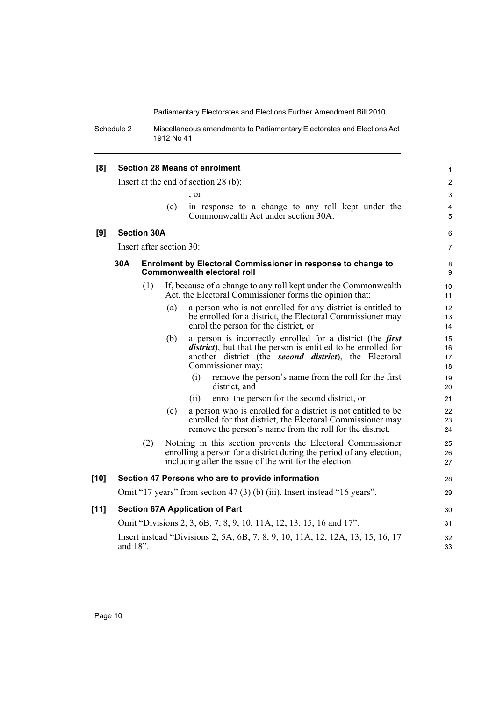Schedule 2 Miscellaneous amendments to Parliamentary Electorates and Elections Act 1912 No 41

| [8]  |                                                                                               |                    |                          | <b>Section 28 Means of enrolment</b>                                                                                                                                                                                             | $\mathbf{1}$         |  |
|------|-----------------------------------------------------------------------------------------------|--------------------|--------------------------|----------------------------------------------------------------------------------------------------------------------------------------------------------------------------------------------------------------------------------|----------------------|--|
|      | Insert at the end of section $28$ (b):                                                        |                    |                          |                                                                                                                                                                                                                                  |                      |  |
|      |                                                                                               |                    |                          | , or                                                                                                                                                                                                                             | 3                    |  |
|      |                                                                                               |                    | (c)                      | in response to a change to any roll kept under the<br>Commonwealth Act under section 30A.                                                                                                                                        | 4<br>5               |  |
| [9]  |                                                                                               | <b>Section 30A</b> |                          |                                                                                                                                                                                                                                  | 6                    |  |
|      |                                                                                               |                    | Insert after section 30: |                                                                                                                                                                                                                                  | $\overline{7}$       |  |
|      | 30A                                                                                           |                    |                          | Enrolment by Electoral Commissioner in response to change to<br>Commonwealth electoral roll                                                                                                                                      | 8<br>9               |  |
|      |                                                                                               | (1)                |                          | If, because of a change to any roll kept under the Commonwealth<br>Act, the Electoral Commissioner forms the opinion that:                                                                                                       | 10<br>11             |  |
|      |                                                                                               |                    | (a)                      | a person who is not enrolled for any district is entitled to<br>be enrolled for a district, the Electoral Commissioner may<br>enrol the person for the district, or                                                              | 12<br>13<br>14       |  |
|      |                                                                                               |                    | (b)                      | a person is incorrectly enrolled for a district (the <i>first</i><br><i>district</i> ), but that the person is entitled to be enrolled for<br>another district (the <b>second district</b> ), the Electoral<br>Commissioner may: | 15<br>16<br>17<br>18 |  |
|      |                                                                                               |                    |                          | (i)<br>remove the person's name from the roll for the first<br>district, and                                                                                                                                                     | 19<br>20             |  |
|      |                                                                                               |                    |                          | enrol the person for the second district, or<br>(ii)                                                                                                                                                                             | 21                   |  |
|      |                                                                                               |                    | (c)                      | a person who is enrolled for a district is not entitled to be<br>enrolled for that district, the Electoral Commissioner may<br>remove the person's name from the roll for the district.                                          | 22<br>23<br>24       |  |
|      |                                                                                               | (2)                |                          | Nothing in this section prevents the Electoral Commissioner<br>enrolling a person for a district during the period of any election,<br>including after the issue of the writ for the election.                                   | 25<br>26<br>27       |  |
| [10] |                                                                                               |                    |                          | Section 47 Persons who are to provide information                                                                                                                                                                                | 28                   |  |
|      |                                                                                               |                    |                          | Omit "17 years" from section 47 (3) (b) (iii). Insert instead "16 years".                                                                                                                                                        | 29                   |  |
| [11] | <b>Section 67A Application of Part</b>                                                        |                    |                          |                                                                                                                                                                                                                                  |                      |  |
|      |                                                                                               |                    |                          | Omit "Divisions 2, 3, 6B, 7, 8, 9, 10, 11A, 12, 13, 15, 16 and 17".                                                                                                                                                              | 31                   |  |
|      | Insert instead "Divisions 2, 5A, 6B, 7, 8, 9, 10, 11A, 12, 12A, 13, 15, 16, 17<br>and $18$ ". |                    |                          |                                                                                                                                                                                                                                  |                      |  |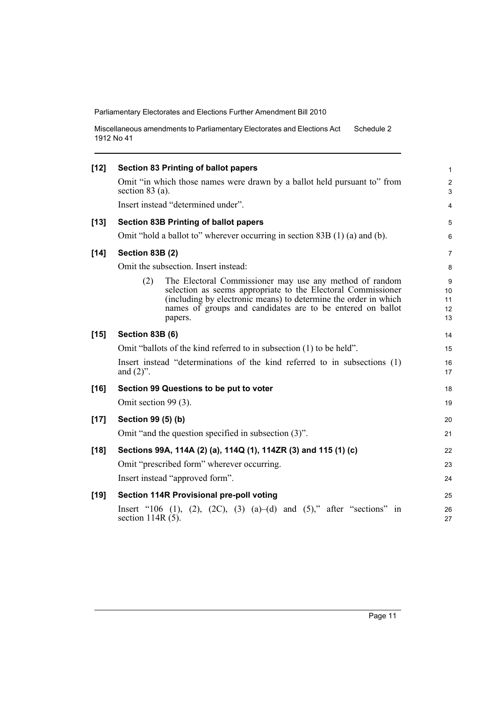Miscellaneous amendments to Parliamentary Electorates and Elections Act 1912 No 41 Schedule 2

| Omit "in which those names were drawn by a ballot held pursuant to" from<br>section $83$ (a).<br>Insert instead "determined under".<br><b>Section 83B Printing of ballot papers</b><br>$[13]$<br>Omit "hold a ballot to" wherever occurring in section $83B(1)(a)$ and (b).<br>$[14]$<br>Section 83B (2)<br>Omit the subsection. Insert instead:<br>The Electoral Commissioner may use any method of random<br>(2)<br>selection as seems appropriate to the Electoral Commissioner<br>(including by electronic means) to determine the order in which<br>names of groups and candidates are to be entered on ballot<br>papers.<br>$[15]$<br>Section 83B (6)<br>Omit "ballots of the kind referred to in subsection (1) to be held".<br>Insert instead "determinations of the kind referred to in subsections (1)<br>and $(2)$ ".<br>$[16]$<br>Section 99 Questions to be put to voter<br>Omit section 99 (3).<br>$[17]$<br>Section 99 (5) (b)<br>Omit "and the question specified in subsection (3)".<br>Sections 99A, 114A (2) (a), 114Q (1), 114ZR (3) and 115 (1) (c)<br>$[18]$<br>Omit "prescribed form" wherever occurring.<br>Insert instead "approved form".<br>Section 114R Provisional pre-poll voting<br>$[19]$<br>Insert "106 (1), (2), (2C), (3) (a)–(d) and (5)," after "sections" in | $\mathbf{1}$              |
|----------------------------------------------------------------------------------------------------------------------------------------------------------------------------------------------------------------------------------------------------------------------------------------------------------------------------------------------------------------------------------------------------------------------------------------------------------------------------------------------------------------------------------------------------------------------------------------------------------------------------------------------------------------------------------------------------------------------------------------------------------------------------------------------------------------------------------------------------------------------------------------------------------------------------------------------------------------------------------------------------------------------------------------------------------------------------------------------------------------------------------------------------------------------------------------------------------------------------------------------------------------------------------------------------|---------------------------|
|                                                                                                                                                                                                                                                                                                                                                                                                                                                                                                                                                                                                                                                                                                                                                                                                                                                                                                                                                                                                                                                                                                                                                                                                                                                                                                    | $\mathbf{2}$<br>3         |
|                                                                                                                                                                                                                                                                                                                                                                                                                                                                                                                                                                                                                                                                                                                                                                                                                                                                                                                                                                                                                                                                                                                                                                                                                                                                                                    | 4                         |
|                                                                                                                                                                                                                                                                                                                                                                                                                                                                                                                                                                                                                                                                                                                                                                                                                                                                                                                                                                                                                                                                                                                                                                                                                                                                                                    | 5                         |
|                                                                                                                                                                                                                                                                                                                                                                                                                                                                                                                                                                                                                                                                                                                                                                                                                                                                                                                                                                                                                                                                                                                                                                                                                                                                                                    | 6                         |
|                                                                                                                                                                                                                                                                                                                                                                                                                                                                                                                                                                                                                                                                                                                                                                                                                                                                                                                                                                                                                                                                                                                                                                                                                                                                                                    | $\overline{7}$            |
|                                                                                                                                                                                                                                                                                                                                                                                                                                                                                                                                                                                                                                                                                                                                                                                                                                                                                                                                                                                                                                                                                                                                                                                                                                                                                                    | 8                         |
|                                                                                                                                                                                                                                                                                                                                                                                                                                                                                                                                                                                                                                                                                                                                                                                                                                                                                                                                                                                                                                                                                                                                                                                                                                                                                                    | 9<br>10<br>11<br>12<br>13 |
|                                                                                                                                                                                                                                                                                                                                                                                                                                                                                                                                                                                                                                                                                                                                                                                                                                                                                                                                                                                                                                                                                                                                                                                                                                                                                                    | 14                        |
|                                                                                                                                                                                                                                                                                                                                                                                                                                                                                                                                                                                                                                                                                                                                                                                                                                                                                                                                                                                                                                                                                                                                                                                                                                                                                                    | 15                        |
|                                                                                                                                                                                                                                                                                                                                                                                                                                                                                                                                                                                                                                                                                                                                                                                                                                                                                                                                                                                                                                                                                                                                                                                                                                                                                                    | 16<br>17                  |
|                                                                                                                                                                                                                                                                                                                                                                                                                                                                                                                                                                                                                                                                                                                                                                                                                                                                                                                                                                                                                                                                                                                                                                                                                                                                                                    | 18                        |
|                                                                                                                                                                                                                                                                                                                                                                                                                                                                                                                                                                                                                                                                                                                                                                                                                                                                                                                                                                                                                                                                                                                                                                                                                                                                                                    | 19                        |
|                                                                                                                                                                                                                                                                                                                                                                                                                                                                                                                                                                                                                                                                                                                                                                                                                                                                                                                                                                                                                                                                                                                                                                                                                                                                                                    | 20                        |
|                                                                                                                                                                                                                                                                                                                                                                                                                                                                                                                                                                                                                                                                                                                                                                                                                                                                                                                                                                                                                                                                                                                                                                                                                                                                                                    | 21                        |
|                                                                                                                                                                                                                                                                                                                                                                                                                                                                                                                                                                                                                                                                                                                                                                                                                                                                                                                                                                                                                                                                                                                                                                                                                                                                                                    | 22                        |
|                                                                                                                                                                                                                                                                                                                                                                                                                                                                                                                                                                                                                                                                                                                                                                                                                                                                                                                                                                                                                                                                                                                                                                                                                                                                                                    | 23                        |
|                                                                                                                                                                                                                                                                                                                                                                                                                                                                                                                                                                                                                                                                                                                                                                                                                                                                                                                                                                                                                                                                                                                                                                                                                                                                                                    | 24                        |
|                                                                                                                                                                                                                                                                                                                                                                                                                                                                                                                                                                                                                                                                                                                                                                                                                                                                                                                                                                                                                                                                                                                                                                                                                                                                                                    | 25                        |
| section $114R(5)$ .                                                                                                                                                                                                                                                                                                                                                                                                                                                                                                                                                                                                                                                                                                                                                                                                                                                                                                                                                                                                                                                                                                                                                                                                                                                                                | 26<br>27                  |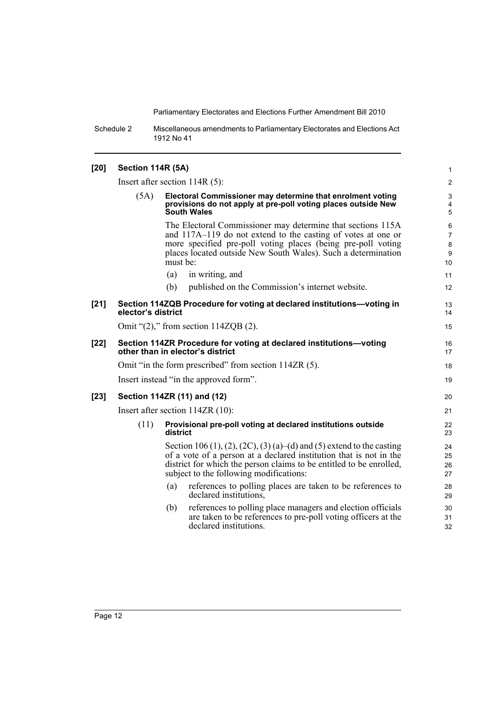Schedule 2 Miscellaneous amendments to Parliamentary Electorates and Elections Act 1912 No 41

| $[20]$ | Section 114R (5A)                                                                                      |                                  |                                                                                                                                                                                                                                                               |                                                          |  |  |
|--------|--------------------------------------------------------------------------------------------------------|----------------------------------|---------------------------------------------------------------------------------------------------------------------------------------------------------------------------------------------------------------------------------------------------------------|----------------------------------------------------------|--|--|
|        |                                                                                                        | Insert after section $114R(5)$ : |                                                                                                                                                                                                                                                               |                                                          |  |  |
|        | (5A)                                                                                                   |                                  | Electoral Commissioner may determine that enrolment voting<br>provisions do not apply at pre-poll voting places outside New<br><b>South Wales</b>                                                                                                             | 3<br>$\overline{4}$<br>5                                 |  |  |
|        |                                                                                                        | must be:                         | The Electoral Commissioner may determine that sections 115A<br>and 117A–119 do not extend to the casting of votes at one or<br>more specified pre-poll voting places (being pre-poll voting<br>places located outside New South Wales). Such a determination  | 6<br>$\overline{7}$<br>$\bf 8$<br>$\boldsymbol{9}$<br>10 |  |  |
|        |                                                                                                        | (a)                              | in writing, and                                                                                                                                                                                                                                               | 11                                                       |  |  |
|        |                                                                                                        | (b)                              | published on the Commission's internet website.                                                                                                                                                                                                               | 12                                                       |  |  |
| $[21]$ | Section 114ZQB Procedure for voting at declared institutions-voting in<br>elector's district           |                                  |                                                                                                                                                                                                                                                               |                                                          |  |  |
|        | Omit " $(2)$ ," from section 114ZQB $(2)$ .                                                            |                                  |                                                                                                                                                                                                                                                               |                                                          |  |  |
| $[22]$ | Section 114ZR Procedure for voting at declared institutions-voting<br>other than in elector's district |                                  |                                                                                                                                                                                                                                                               | 16<br>17                                                 |  |  |
|        |                                                                                                        |                                  | Omit "in the form prescribed" from section 114ZR (5).                                                                                                                                                                                                         | 18                                                       |  |  |
|        | Insert instead "in the approved form".                                                                 |                                  |                                                                                                                                                                                                                                                               |                                                          |  |  |
| $[23]$ |                                                                                                        |                                  | Section 114ZR (11) and (12)                                                                                                                                                                                                                                   | 20                                                       |  |  |
|        |                                                                                                        |                                  | Insert after section 114ZR (10):                                                                                                                                                                                                                              | 21                                                       |  |  |
|        | (11)                                                                                                   | district                         | Provisional pre-poll voting at declared institutions outside                                                                                                                                                                                                  | 22<br>23                                                 |  |  |
|        |                                                                                                        |                                  | Section 106 (1), (2), (2C), (3) (a)–(d) and (5) extend to the casting<br>of a vote of a person at a declared institution that is not in the<br>district for which the person claims to be entitled to be enrolled,<br>subject to the following modifications: | 24<br>25<br>26<br>27                                     |  |  |
|        |                                                                                                        | (a)                              | references to polling places are taken to be references to<br>declared institutions.                                                                                                                                                                          | 28<br>29                                                 |  |  |
|        |                                                                                                        | (b)                              | references to polling place managers and election officials<br>are taken to be references to pre-poll voting officers at the<br>declared institutions.                                                                                                        | 30<br>31<br>32                                           |  |  |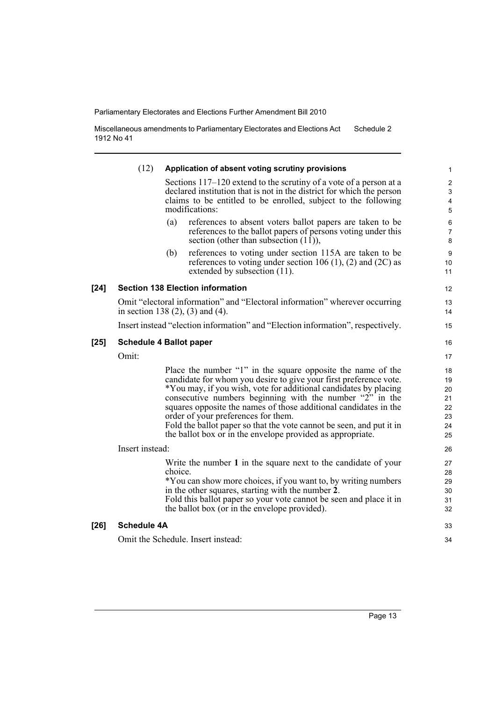Miscellaneous amendments to Parliamentary Electorates and Elections Act 1912 No 41 Schedule 2

|        | (12)                               | Application of absent voting scrutiny provisions                                                                                                                                                                                                                                                                                                                                                                                                                                                                  | 1                                            |  |  |
|--------|------------------------------------|-------------------------------------------------------------------------------------------------------------------------------------------------------------------------------------------------------------------------------------------------------------------------------------------------------------------------------------------------------------------------------------------------------------------------------------------------------------------------------------------------------------------|----------------------------------------------|--|--|
|        |                                    | Sections 117–120 extend to the scrutiny of a vote of a person at a<br>declared institution that is not in the district for which the person<br>claims to be entitled to be enrolled, subject to the following<br>modifications:                                                                                                                                                                                                                                                                                   | $\overline{\mathbf{c}}$<br>3<br>4<br>5       |  |  |
|        |                                    | references to absent voters ballot papers are taken to be<br>(a)<br>references to the ballot papers of persons voting under this<br>section (other than subsection $(11)$ ),                                                                                                                                                                                                                                                                                                                                      | 6<br>$\overline{7}$<br>8                     |  |  |
|        |                                    | references to voting under section 115A are taken to be<br>(b)<br>references to voting under section 106 (1), (2) and (2C) as<br>extended by subsection (11).                                                                                                                                                                                                                                                                                                                                                     | 9<br>10<br>11                                |  |  |
| $[24]$ |                                    | <b>Section 138 Election information</b>                                                                                                                                                                                                                                                                                                                                                                                                                                                                           | 12                                           |  |  |
|        |                                    | Omit "electoral information" and "Electoral information" wherever occurring<br>in section 138 $(2)$ , $(3)$ and $(4)$ .                                                                                                                                                                                                                                                                                                                                                                                           | 13<br>14                                     |  |  |
|        |                                    | Insert instead "election information" and "Election information", respectively.                                                                                                                                                                                                                                                                                                                                                                                                                                   | 15                                           |  |  |
| $[25]$ | <b>Schedule 4 Ballot paper</b>     |                                                                                                                                                                                                                                                                                                                                                                                                                                                                                                                   |                                              |  |  |
|        | Omit:                              |                                                                                                                                                                                                                                                                                                                                                                                                                                                                                                                   | 17                                           |  |  |
|        |                                    | Place the number "1" in the square opposite the name of the<br>candidate for whom you desire to give your first preference vote.<br>*You may, if you wish, vote for additional candidates by placing<br>consecutive numbers beginning with the number "2" in the<br>squares opposite the names of those additional candidates in the<br>order of your preferences for them.<br>Fold the ballot paper so that the vote cannot be seen, and put it in<br>the ballot box or in the envelope provided as appropriate. | 18<br>19<br>20<br>21<br>22<br>23<br>24<br>25 |  |  |
|        | Insert instead:                    |                                                                                                                                                                                                                                                                                                                                                                                                                                                                                                                   |                                              |  |  |
|        |                                    | Write the number 1 in the square next to the candidate of your<br>choice.<br>*You can show more choices, if you want to, by writing numbers<br>in the other squares, starting with the number 2.<br>Fold this ballot paper so your vote cannot be seen and place it in<br>the ballot box (or in the envelope provided).                                                                                                                                                                                           | 27<br>28<br>29<br>30<br>31<br>32             |  |  |
| $[26]$ | <b>Schedule 4A</b>                 |                                                                                                                                                                                                                                                                                                                                                                                                                                                                                                                   | 33                                           |  |  |
|        | Omit the Schedule. Insert instead: |                                                                                                                                                                                                                                                                                                                                                                                                                                                                                                                   |                                              |  |  |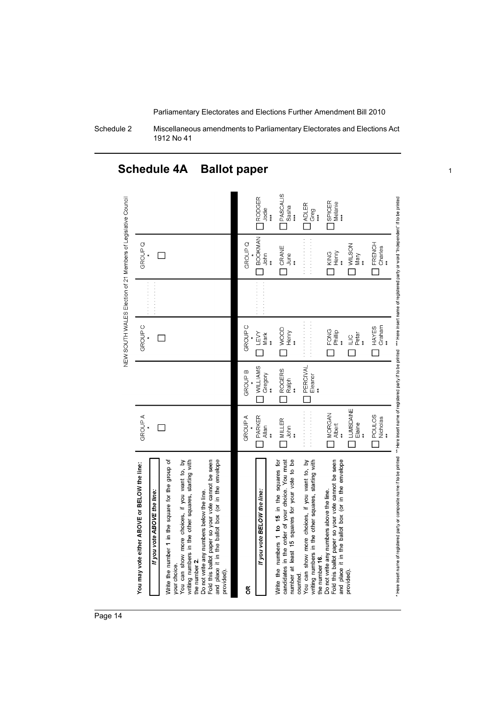Schedule 2 Miscellaneous amendments to Parliamentary Electorates and Elections Act 1912 No 41

## **Schedule 4A Ballot paper** <sup>1</sup>



Page 14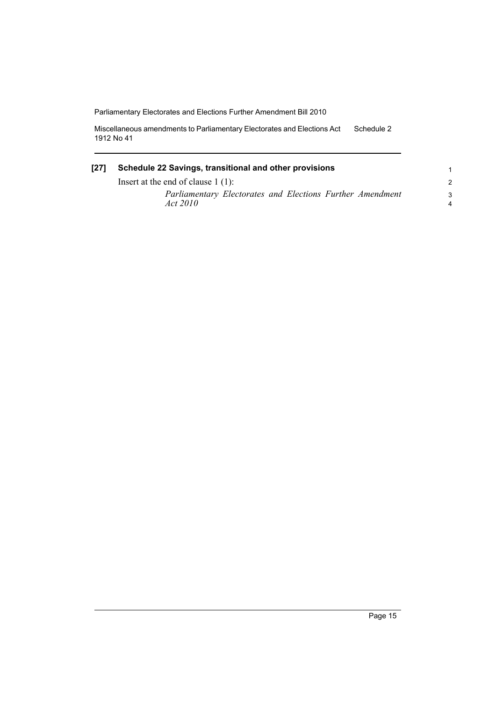Miscellaneous amendments to Parliamentary Electorates and Elections Act 1912 No 41 Schedule 2

## **[27] Schedule 22 Savings, transitional and other provisions** Insert at the end of clause 1 (1):

*Parliamentary Electorates and Elections Further Amendment Act 2010*